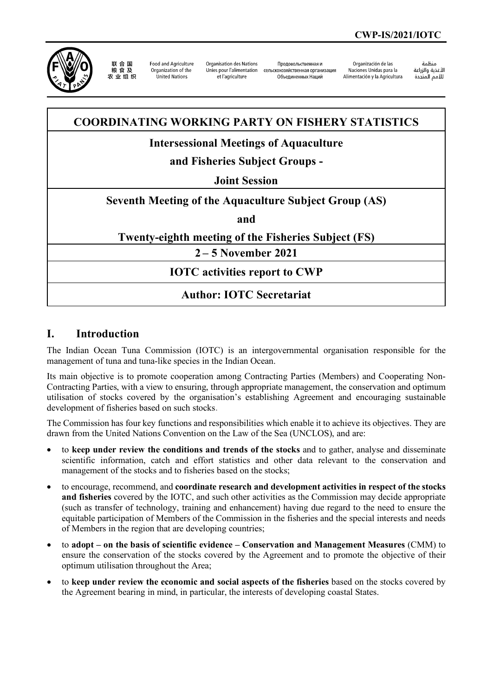

联合国 农业组织

**Food and Agriculture** Organization of the United Nations

Organisation des Nations Unies pour l'alimentation et l'agriculture

Продовольственная и сельскохозяйственная организация Объединенных Наций

Organización de las Naciones Unidas para la Alimentación y la Agricultura

änhin الأغذية والزراعة التعدية والزراعة<br>للأمم المتحدة

# **COORDINATING WORKING PARTY ON FISHERY STATISTICS**

## **Intersessional Meetings of Aquaculture**

# **and Fisheries Subject Groups -**

#### **Joint Session**

## **Seventh Meeting of the Aquaculture Subject Group (AS)**

**and**

#### **Twenty-eighth meeting of the Fisheries Subject (FS)**

**2 – 5 November 2021**

## **IOTC activities report to CWP**

## **Author: IOTC Secretariat**

#### **I. Introduction**

The Indian Ocean Tuna Commission (IOTC) is an intergovernmental organisation responsible for the management of tuna and tuna-like species in the Indian Ocean.

Its main objective is to promote cooperation among Contracting Parties (Members) and Cooperating Non-Contracting Parties, with a view to ensuring, through appropriate management, the conservation and optimum utilisation of stocks covered by the organisation's establishing Agreement and encouraging sustainable development of fisheries based on such stocks.

The Commission has four key functions and responsibilities which enable it to achieve its objectives. They are drawn from the United Nations Convention on the Law of the Sea (UNCLOS), and are:

- to **keep under review the conditions and trends of the stocks** and to gather, analyse and disseminate scientific information, catch and effort statistics and other data relevant to the conservation and management of the stocks and to fisheries based on the stocks;
- to encourage, recommend, and **coordinate research and development activities in respect of the stocks and fisheries** covered by the IOTC, and such other activities as the Commission may decide appropriate (such as transfer of technology, training and enhancement) having due regard to the need to ensure the equitable participation of Members of the Commission in the fisheries and the special interests and needs of Members in the region that are developing countries;
- to **adopt – on the basis of scientific evidence – Conservation and Management Measures** (CMM) to ensure the conservation of the stocks covered by the Agreement and to promote the objective of their optimum utilisation throughout the Area;
- to **keep under review the economic and social aspects of the fisheries** based on the stocks covered by the Agreement bearing in mind, in particular, the interests of developing coastal States.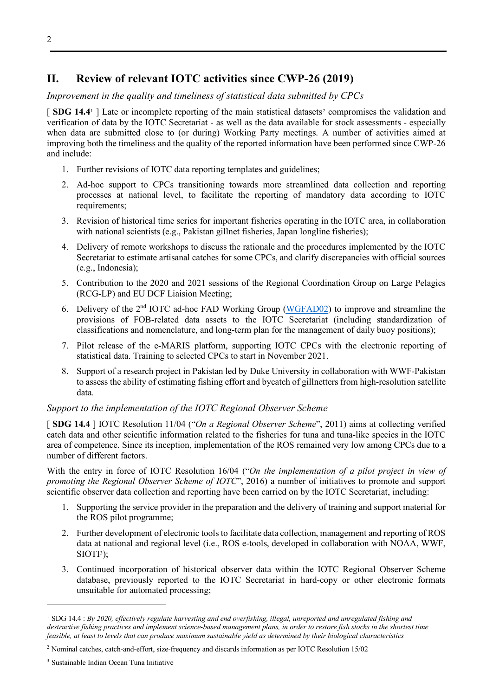# **II. Review of relevant IOTC activities since CWP-26 (2019)**

## *Improvement in the quality and timeliness of statistical data submitted by CPCs*

[ **SDG [1](#page-1-0)4.4**<sup>1</sup> ] Late or incomplete reporting of the main statistical datasets<sup>[2](#page-1-1)</sup> compromises the validation and verification of data by the IOTC Secretariat - as well as the data available for stock assessments - especially when data are submitted close to (or during) Working Party meetings. A number of activities aimed at improving both the timeliness and the quality of the reported information have been performed since CWP-26 and include:

- 1. Further revisions of IOTC data reporting templates and guidelines;
- 2. Ad-hoc support to CPCs transitioning towards more streamlined data collection and reporting processes at national level, to facilitate the reporting of mandatory data according to IOTC requirements;
- 3. Revision of historical time series for important fisheries operating in the IOTC area, in collaboration with national scientists (e.g., Pakistan gillnet fisheries, Japan longline fisheries);
- 4. Delivery of remote workshops to discuss the rationale and the procedures implemented by the IOTC Secretariat to estimate artisanal catches for some CPCs, and clarify discrepancies with official sources (e.g., Indonesia);
- 5. Contribution to the 2020 and 2021 sessions of the Regional Coordination Group on Large Pelagics (RCG-LP) and EU DCF Liaision Meeting;
- 6. Delivery of the 2<sup>nd</sup> IOTC ad-hoc FAD Working Group [\(WGFAD02\)](https://www.iotc.org/meetings/2nd-iotc-ad-hoc-working-group-fads-wgfad02) to improve and streamline the provisions of FOB-related data assets to the IOTC Secretariat (including standardization of classifications and nomenclature, and long-term plan for the management of daily buoy positions);
- 7. Pilot release of the e-MARIS platform, supporting IOTC CPCs with the electronic reporting of statistical data. Training to selected CPCs to start in November 2021.
- 8. Support of a research project in Pakistan led by Duke University in collaboration with WWF-Pakistan to assess the ability of estimating fishing effort and bycatch of gillnetters from high-resolution satellite data.

#### *Support to the implementation of the IOTC Regional Observer Scheme*

[ **SDG 14.4** ] IOTC Resolution 11/04 ("*On a Regional Observer Scheme*", 2011) aims at collecting verified catch data and other scientific information related to the fisheries for tuna and tuna-like species in the IOTC area of competence. Since its inception, implementation of the ROS remained very low among CPCs due to a number of different factors.

With the entry in force of IOTC Resolution 16/04 ("*On the implementation of a pilot project in view of promoting the Regional Observer Scheme of IOTC*", 2016) a number of initiatives to promote and support scientific observer data collection and reporting have been carried on by the IOTC Secretariat, including:

- 1. Supporting the service provider in the preparation and the delivery of training and support material for the ROS pilot programme;
- 2. Further development of electronic tools to facilitate data collection, management and reporting of ROS data at national and regional level (i.e., ROS e-tools, developed in collaboration with NOAA, WWF,  $SIOTI<sup>3</sup>$  $SIOTI<sup>3</sup>$  $SIOTI<sup>3</sup>$ ;
- 3. Continued incorporation of historical observer data within the IOTC Regional Observer Scheme database, previously reported to the IOTC Secretariat in hard-copy or other electronic formats unsuitable for automated processing;

<span id="page-1-0"></span><sup>1</sup> SDG 14.4 : *By 2020, effectively regulate harvesting and end overfishing, illegal, unreported and unregulated fishing and destructive fishing practices and implement science-based management plans, in order to restore fish stocks in the shortest time feasible, at least to levels that can produce maximum sustainable yield as determined by their biological characteristics*

<span id="page-1-1"></span><sup>2</sup> Nominal catches, catch-and-effort, size-frequency and discards information as per IOTC Resolution 15/02

<span id="page-1-2"></span><sup>3</sup> Sustainable Indian Ocean Tuna Initiative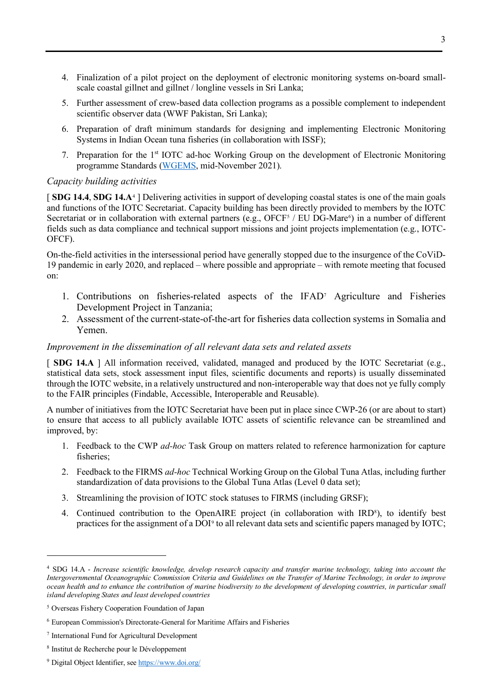- 4. Finalization of a pilot project on the deployment of electronic monitoring systems on-board smallscale coastal gillnet and gillnet / longline vessels in Sri Lanka;
- 5. Further assessment of crew-based data collection programs as a possible complement to independent scientific observer data (WWF Pakistan, Sri Lanka);
- 6. Preparation of draft minimum standards for designing and implementing Electronic Monitoring Systems in Indian Ocean tuna fisheries (in collaboration with ISSF);
- 7. Preparation for the 1st IOTC ad-hoc Working Group on the development of Electronic Monitoring programme Standards [\(WGEMS,](https://www.iotc.org/meetings/ad-hoc-working-group-development-electronic-monitoring-programme-standards-wgems) mid-November 2021).

#### *Capacity building activities*

[ **SDG 14.4**, **SDG 14.A**[4](#page-2-0) ] Delivering activities in support of developing coastal states is one of the main goals and functions of the IOTC Secretariat. Capacity building has been directly provided to members by the IOTC Secretariat or in collaboration with external partners (e.g., OFCF<sup>[5](#page-2-1)</sup> / EU DG-Mare<sup>[6](#page-2-2)</sup>) in a number of different fields such as data compliance and technical support missions and joint projects implementation (e.g., IOTC-OFCF).

On-the-field activities in the intersessional period have generally stopped due to the insurgence of the CoViD-19 pandemic in early 2020, and replaced – where possible and appropriate – with remote meeting that focused on:

- 1. Contributions on fisheries-related aspects of the IFA[D7](#page-2-3) Agriculture and Fisheries Development Project in Tanzania;
- 2. Assessment of the current-state-of-the-art for fisheries data collection systems in Somalia and Yemen.

#### *Improvement in the dissemination of all relevant data sets and related assets*

[ **SDG 14.A** ] All information received, validated, managed and produced by the IOTC Secretariat (e.g., statistical data sets, stock assessment input files, scientific documents and reports) is usually disseminated through the IOTC website, in a relatively unstructured and non-interoperable way that does not ye fully comply to the FAIR principles (Findable, Accessible, Interoperable and Reusable).

A number of initiatives from the IOTC Secretariat have been put in place since CWP-26 (or are about to start) to ensure that access to all publicly available IOTC assets of scientific relevance can be streamlined and improved, by:

- 1. Feedback to the CWP *ad-hoc* Task Group on matters related to reference harmonization for capture fisheries;
- 2. Feedback to the FIRMS *ad-hoc* Technical Working Group on the Global Tuna Atlas, including further standardization of data provisions to the Global Tuna Atlas (Level 0 data set);
- 3. Streamlining the provision of IOTC stock statuses to FIRMS (including GRSF);
- 4. Continued contribution to the OpenAIRE project (in collaboration with IRD<sup>8</sup>), to identify best practices for the assignment of a DOI[9](#page-2-5) to all relevant data sets and scientific papers managed by IOTC;

<span id="page-2-0"></span><sup>4</sup> SDG 14.A - *Increase scientific knowledge, develop research capacity and transfer marine technology, taking into account the Intergovernmental Oceanographic Commission Criteria and Guidelines on the Transfer of Marine Technology, in order to improve ocean health and to enhance the contribution of marine biodiversity to the development of developing countries, in particular small island developing States and least developed countries*

<span id="page-2-1"></span><sup>5</sup> Overseas Fishery Cooperation Foundation of Japan

<span id="page-2-2"></span><sup>6</sup> European Commission's Directorate-General for Maritime Affairs and Fisheries

<span id="page-2-3"></span><sup>7</sup> International Fund for Agricultural Development

<span id="page-2-4"></span><sup>8</sup> Institut de Recherche pour le Développement

<span id="page-2-5"></span><sup>&</sup>lt;sup>9</sup> Digital Object Identifier, se[e https://www.doi.org/](https://www.doi.org/)